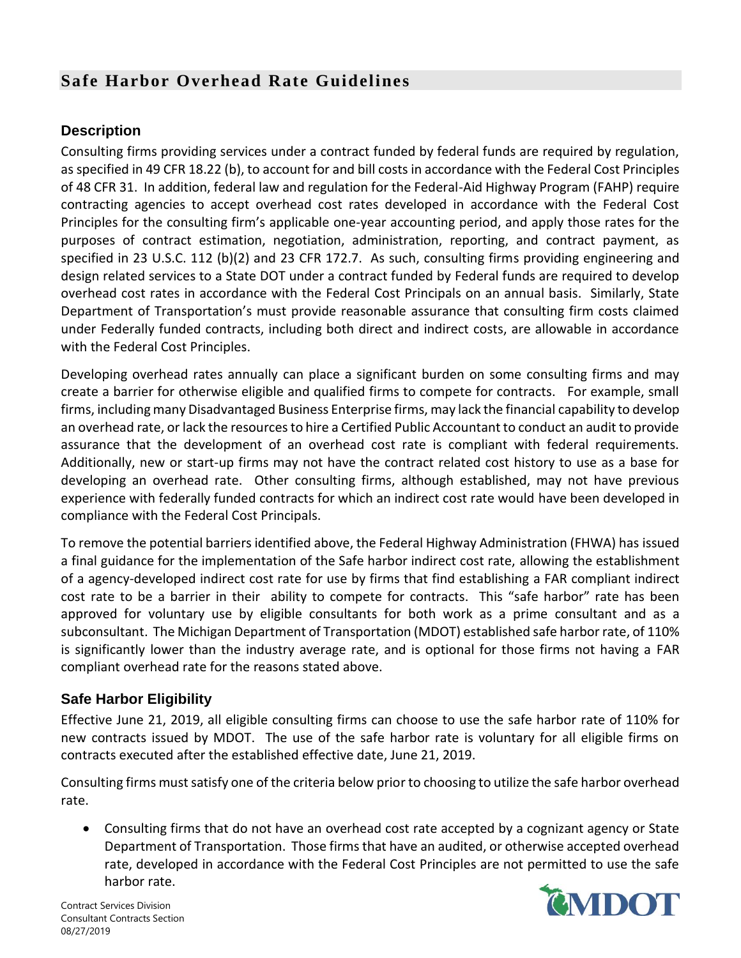## **Safe Harbor Overhead Rate Guidelines**

## **Description**

Consulting firms providing services under a contract funded by federal funds are required by regulation, as specified in 49 CFR 18.22 (b), to account for and bill costs in accordance with the Federal Cost Principles of 48 CFR 31. In addition, federal law and regulation for the Federal-Aid Highway Program (FAHP) require contracting agencies to accept overhead cost rates developed in accordance with the Federal Cost Principles for the consulting firm's applicable one-year accounting period, and apply those rates for the purposes of contract estimation, negotiation, administration, reporting, and contract payment, as specified in 23 U.S.C. 112 (b)(2) and 23 CFR 172.7. As such, consulting firms providing engineering and design related services to a State DOT under a contract funded by Federal funds are required to develop overhead cost rates in accordance with the Federal Cost Principals on an annual basis. Similarly, State Department of Transportation's must provide reasonable assurance that consulting firm costs claimed under Federally funded contracts, including both direct and indirect costs, are allowable in accordance with the Federal Cost Principles.

Developing overhead rates annually can place a significant burden on some consulting firms and may create a barrier for otherwise eligible and qualified firms to compete for contracts. For example, small firms, including many Disadvantaged Business Enterprise firms, may lack the financial capability to develop an overhead rate, or lack the resources to hire a Certified Public Accountant to conduct an audit to provide assurance that the development of an overhead cost rate is compliant with federal requirements. Additionally, new or start-up firms may not have the contract related cost history to use as a base for developing an overhead rate. Other consulting firms, although established, may not have previous experience with federally funded contracts for which an indirect cost rate would have been developed in compliance with the Federal Cost Principals.

To remove the potential barriers identified above, the Federal Highway Administration (FHWA) has issued a final guidance for the implementation of the Safe harbor indirect cost rate, allowing the establishment of a agency-developed indirect cost rate for use by firms that find establishing a FAR compliant indirect cost rate to be a barrier in their ability to compete for contracts. This "safe harbor" rate has been approved for voluntary use by eligible consultants for both work as a prime consultant and as a subconsultant. The Michigan Department of Transportation (MDOT) established safe harbor rate, of 110% is significantly lower than the industry average rate, and is optional for those firms not having a FAR compliant overhead rate for the reasons stated above.

## **Safe Harbor Eligibility**

Effective June 21, 2019, all eligible consulting firms can choose to use the safe harbor rate of 110% for new contracts issued by MDOT. The use of the safe harbor rate is voluntary for all eligible firms on contracts executed after the established effective date, June 21, 2019.

Consulting firms must satisfy one of the criteria below prior to choosing to utilize the safe harbor overhead rate.

• Consulting firms that do not have an overhead cost rate accepted by a cognizant agency or State Department of Transportation. Those firms that have an audited, or otherwise accepted overhead rate, developed in accordance with the Federal Cost Principles are not permitted to use the safe harbor rate.

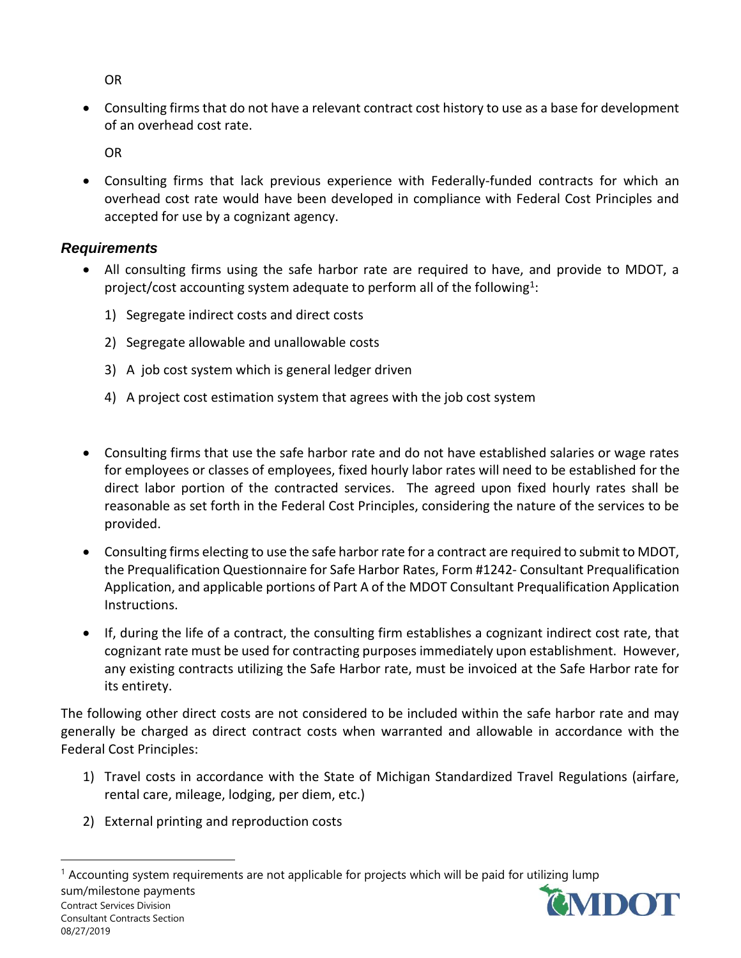OR

• Consulting firms that do not have a relevant contract cost history to use as a base for development of an overhead cost rate.

OR

• Consulting firms that lack previous experience with Federally-funded contracts for which an overhead cost rate would have been developed in compliance with Federal Cost Principles and accepted for use by a cognizant agency.

## *Requirements*

- All consulting firms using the safe harbor rate are required to have, and provide to MDOT, a project/cost accounting system adequate to perform all of the following<sup>1</sup>:
	- 1) Segregate indirect costs and direct costs
	- 2) Segregate allowable and unallowable costs
	- 3) A job cost system which is general ledger driven
	- 4) A project cost estimation system that agrees with the job cost system
- Consulting firms that use the safe harbor rate and do not have established salaries or wage rates for employees or classes of employees, fixed hourly labor rates will need to be established for the direct labor portion of the contracted services. The agreed upon fixed hourly rates shall be reasonable as set forth in the Federal Cost Principles, considering the nature of the services to be provided.
- Consulting firms electing to use the safe harbor rate for a contract are required to submit to MDOT, the Prequalification Questionnaire for Safe Harbor Rates, Form #1242- Consultant Prequalification Application, and applicable portions of Part A of the MDOT Consultant Prequalification Application Instructions.
- If, during the life of a contract, the consulting firm establishes a cognizant indirect cost rate, that cognizant rate must be used for contracting purposes immediately upon establishment. However, any existing contracts utilizing the Safe Harbor rate, must be invoiced at the Safe Harbor rate for its entirety.

The following other direct costs are not considered to be included within the safe harbor rate and may generally be charged as direct contract costs when warranted and allowable in accordance with the Federal Cost Principles:

- 1) Travel costs in accordance with the State of Michigan Standardized Travel Regulations (airfare, rental care, mileage, lodging, per diem, etc.)
- 2) External printing and reproduction costs

Contract Services Division Consultant Contracts Section 08/27/2019 <sup>1</sup> Accounting system requirements are not applicable for projects which will be paid for utilizing lump sum/milestone payments